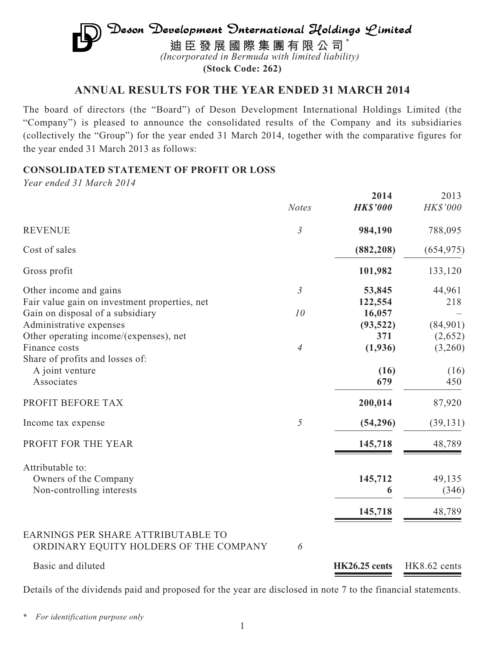# $\mathfrak{D}$ eson Development  $\mathfrak{D}$ nternational Holdings  $\mathcal {L}$ imited **迪臣發展國際集團有限公司** \* *(Incorporated in Bermuda with limited liability)*

**(Stock Code: 262)**

# **ANNUAL RESULTS FOR THE YEAR ENDED 31 MARCH 2014**

The board of directors (the "Board") of Deson Development International Holdings Limited (the "Company") is pleased to announce the consolidated results of the Company and its subsidiaries (collectively the "Group") for the year ended 31 March 2014, together with the comparative figures for the year ended 31 March 2013 as follows:

# **CONSOLIDATED STATEMENT OF PROFIT OR LOSS**

*Year ended 31 March 2014*

|                                                                                   |                | 2014              | 2013       |
|-----------------------------------------------------------------------------------|----------------|-------------------|------------|
|                                                                                   | <b>Notes</b>   | <b>HK\$'000</b>   | HK\$'000   |
| <b>REVENUE</b>                                                                    | $\mathfrak{Z}$ | 984,190           | 788,095    |
| Cost of sales                                                                     |                | (882, 208)        | (654, 975) |
| Gross profit                                                                      |                | 101,982           | 133,120    |
| Other income and gains                                                            | $\mathfrak{Z}$ | 53,845            | 44,961     |
| Fair value gain on investment properties, net<br>Gain on disposal of a subsidiary | 10             | 122,554<br>16,057 | 218        |
| Administrative expenses                                                           |                | (93, 522)         | (84,901)   |
| Other operating income/(expenses), net                                            |                | 371               | (2,652)    |
| Finance costs                                                                     | $\overline{4}$ | (1,936)           | (3,260)    |
| Share of profits and losses of:                                                   |                |                   |            |
| A joint venture                                                                   |                | (16)              | (16)       |
| Associates                                                                        |                | 679               | 450        |
| PROFIT BEFORE TAX                                                                 |                | 200,014           | 87,920     |
| Income tax expense                                                                | 5              | (54, 296)         | (39, 131)  |
| PROFIT FOR THE YEAR                                                               |                | 145,718           | 48,789     |
| Attributable to:                                                                  |                |                   |            |
| Owners of the Company                                                             |                | 145,712           | 49,135     |
| Non-controlling interests                                                         |                | 6                 | (346)      |
|                                                                                   |                | 145,718           | 48,789     |
|                                                                                   |                |                   |            |
| EARNINGS PER SHARE ATTRIBUTABLE TO                                                |                |                   |            |
| ORDINARY EQUITY HOLDERS OF THE COMPANY                                            | 6              |                   |            |

# Basic and diluted **HK26.25 cents** HK8.62 cents

Details of the dividends paid and proposed for the year are disclosed in note 7 to the financial statements.

\* *For identification purpose only*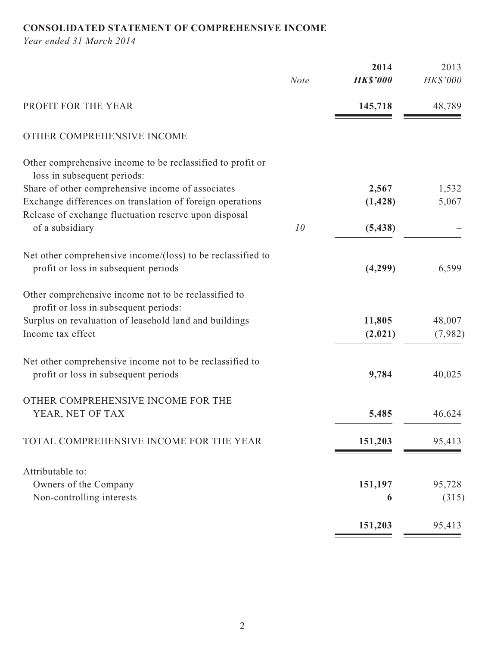# **CONSOLIDATED STATEMENT OF COMPREHENSIVE INCOME**

*Year ended 31 March 2014*

|                                                                                                  |             | 2014            | 2013     |
|--------------------------------------------------------------------------------------------------|-------------|-----------------|----------|
|                                                                                                  | <b>Note</b> | <b>HK\$'000</b> | HK\$'000 |
| PROFIT FOR THE YEAR                                                                              |             | 145,718         | 48,789   |
| OTHER COMPREHENSIVE INCOME                                                                       |             |                 |          |
| Other comprehensive income to be reclassified to profit or<br>loss in subsequent periods:        |             |                 |          |
| Share of other comprehensive income of associates                                                |             | 2,567           | 1,532    |
| Exchange differences on translation of foreign operations                                        |             | (1, 428)        | 5,067    |
| Release of exchange fluctuation reserve upon disposal                                            |             |                 |          |
| of a subsidiary                                                                                  | 10          | (5, 438)        |          |
| Net other comprehensive income/(loss) to be reclassified to                                      |             |                 |          |
| profit or loss in subsequent periods                                                             |             | (4,299)         | 6,599    |
| Other comprehensive income not to be reclassified to<br>profit or loss in subsequent periods:    |             |                 |          |
| Surplus on revaluation of leasehold land and buildings                                           |             | 11,805          | 48,007   |
| Income tax effect                                                                                |             | (2,021)         | (7,982)  |
| Net other comprehensive income not to be reclassified to<br>profit or loss in subsequent periods |             | 9,784           | 40,025   |
| OTHER COMPREHENSIVE INCOME FOR THE                                                               |             |                 |          |
| YEAR, NET OF TAX                                                                                 |             | 5,485           | 46,624   |
| TOTAL COMPREHENSIVE INCOME FOR THE YEAR                                                          |             | 151,203         | 95,413   |
| Attributable to:                                                                                 |             |                 |          |
| Owners of the Company                                                                            |             | 151,197         | 95,728   |
| Non-controlling interests                                                                        |             | 6               | (315)    |
|                                                                                                  |             |                 |          |
|                                                                                                  |             | 151,203         | 95,413   |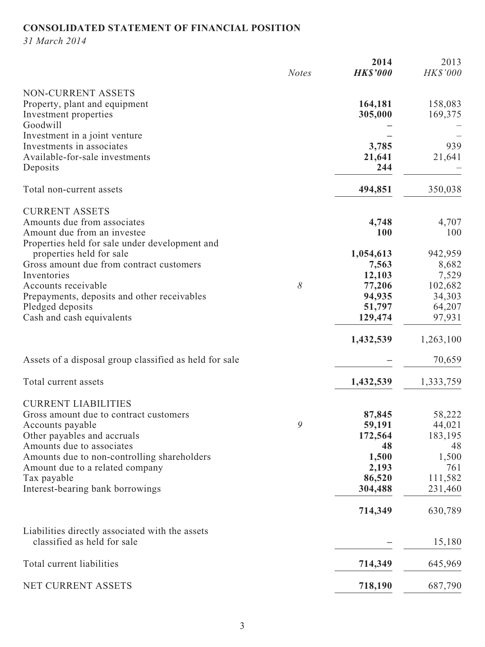# **CONSOLIDATED STATEMENT OF FINANCIAL POSITION**

*31 March 2014*

|                                                                                                                                                                   | <b>Notes</b> | 2014<br><b>HK\$'000</b>             | 2013<br>HK\$'000                         |
|-------------------------------------------------------------------------------------------------------------------------------------------------------------------|--------------|-------------------------------------|------------------------------------------|
| NON-CURRENT ASSETS<br>Property, plant and equipment<br>Investment properties<br>Goodwill                                                                          |              | 164,181<br>305,000                  | 158,083<br>169,375                       |
| Investment in a joint venture<br>Investments in associates<br>Available-for-sale investments<br>Deposits                                                          |              | 3,785<br>21,641<br>244              | 939<br>21,641                            |
| Total non-current assets                                                                                                                                          |              | 494,851                             | 350,038                                  |
| <b>CURRENT ASSETS</b><br>Amounts due from associates<br>Amount due from an investee<br>Properties held for sale under development and<br>properties held for sale |              | 4,748<br>100<br>1,054,613           | 4,707<br>100<br>942,959                  |
| Gross amount due from contract customers<br>Inventories<br>Accounts receivable                                                                                    | 8            | 7,563<br>12,103<br>77,206           | 8,682<br>7,529<br>102,682                |
| Prepayments, deposits and other receivables<br>Pledged deposits<br>Cash and cash equivalents                                                                      |              | 94,935<br>51,797<br>129,474         | 34,303<br>64,207<br>97,931               |
|                                                                                                                                                                   |              | 1,432,539                           | 1,263,100                                |
| Assets of a disposal group classified as held for sale                                                                                                            |              |                                     | 70,659                                   |
| Total current assets                                                                                                                                              |              | 1,432,539                           | 1,333,759                                |
| <b>CURRENT LIABILITIES</b><br>Gross amount due to contract customers<br>Accounts payable<br>Other payables and accruals                                           | 9            | 87,845<br>59,191<br>172,564<br>48   | 58,222<br>44,021<br>183,195              |
| Amounts due to associates<br>Amounts due to non-controlling shareholders<br>Amount due to a related company<br>Tax payable<br>Interest-bearing bank borrowings    |              | 1,500<br>2,193<br>86,520<br>304,488 | 48<br>1,500<br>761<br>111,582<br>231,460 |
|                                                                                                                                                                   |              | 714,349                             | 630,789                                  |
| Liabilities directly associated with the assets<br>classified as held for sale                                                                                    |              |                                     | 15,180                                   |
| Total current liabilities                                                                                                                                         |              | 714,349                             | 645,969                                  |
| NET CURRENT ASSETS                                                                                                                                                |              | 718,190                             | 687,790                                  |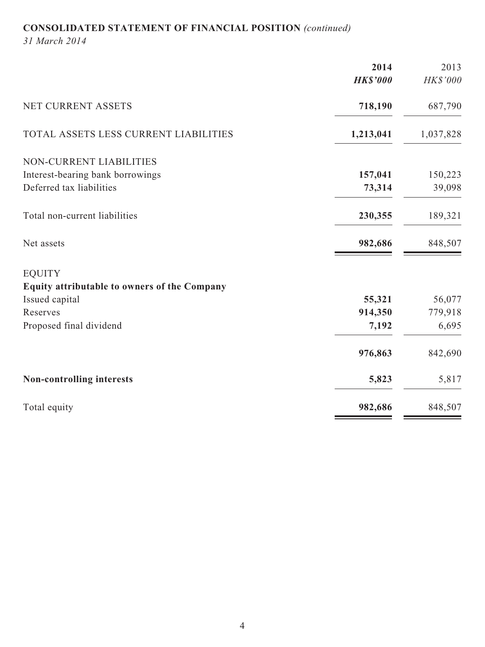# **CONSOLIDATED STATEMENT OF FINANCIAL POSITION** *(continued)*

*31 March 2014*

|                                              | 2014            | 2013      |
|----------------------------------------------|-----------------|-----------|
|                                              | <b>HK\$'000</b> | HK\$'000  |
| NET CURRENT ASSETS                           | 718,190         | 687,790   |
| TOTAL ASSETS LESS CURRENT LIABILITIES        | 1,213,041       | 1,037,828 |
| NON-CURRENT LIABILITIES                      |                 |           |
| Interest-bearing bank borrowings             | 157,041         | 150,223   |
| Deferred tax liabilities                     | 73,314          | 39,098    |
| Total non-current liabilities                | 230,355         | 189,321   |
| Net assets                                   | 982,686         | 848,507   |
| <b>EQUITY</b>                                |                 |           |
| Equity attributable to owners of the Company |                 |           |
| Issued capital                               | 55,321          | 56,077    |
| Reserves                                     | 914,350         | 779,918   |
| Proposed final dividend                      | 7,192           | 6,695     |
|                                              | 976,863         | 842,690   |
| Non-controlling interests                    | 5,823           | 5,817     |
| Total equity                                 | 982,686         | 848,507   |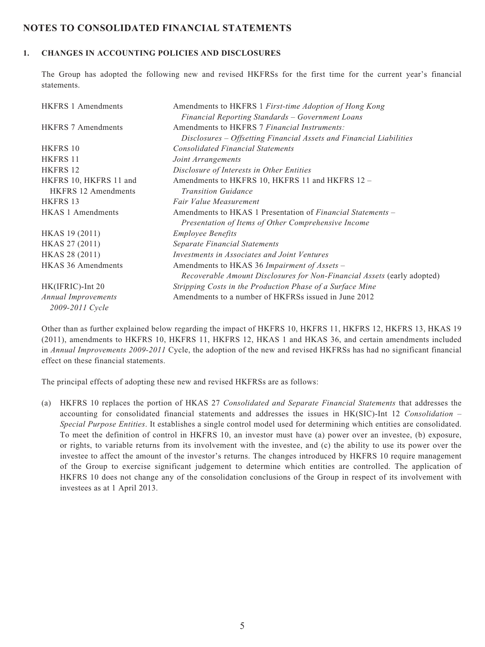### **NOTES TO CONSOLIDATED FINANCIAL STATEMENTS**

#### **1. CHANGES IN ACCOUNTING POLICIES AND DISCLOSURES**

The Group has adopted the following new and revised HKFRSs for the first time for the current year's financial statements.

| <b>HKFRS 1 Amendments</b>  | Amendments to HKFRS 1 First-time Adoption of Hong Kong                  |
|----------------------------|-------------------------------------------------------------------------|
|                            | Financial Reporting Standards – Government Loans                        |
| <b>HKFRS 7 Amendments</b>  | Amendments to HKFRS 7 Financial Instruments:                            |
|                            | Disclosures – Offsetting Financial Assets and Financial Liabilities     |
| HKFRS 10                   | <b>Consolidated Financial Statements</b>                                |
| HKFRS 11                   | Joint Arrangements                                                      |
| HKFRS 12                   | Disclosure of Interests in Other Entities                               |
| HKFRS 10, HKFRS 11 and     | Amendments to HKFRS 10, HKFRS 11 and HKFRS 12 -                         |
| <b>HKFRS</b> 12 Amendments | <b>Transition Guidance</b>                                              |
| HKFRS 13                   | Fair Value Measurement                                                  |
| <b>HKAS 1 Amendments</b>   | Amendments to HKAS 1 Presentation of <i>Financial Statements</i> –      |
|                            | Presentation of Items of Other Comprehensive Income                     |
| HKAS 19 (2011)             | <b>Employee Benefits</b>                                                |
| HKAS 27 (2011)             | <b>Separate Financial Statements</b>                                    |
| HKAS 28 (2011)             | Investments in Associates and Joint Ventures                            |
| <b>HKAS 36 Amendments</b>  | Amendments to HKAS 36 Impairment of Assets -                            |
|                            | Recoverable Amount Disclosures for Non-Financial Assets (early adopted) |
| HK(IFRIC)-Int 20           | Stripping Costs in the Production Phase of a Surface Mine               |
| <b>Annual Improvements</b> | Amendments to a number of HKFRSs issued in June 2012                    |
| 2009-2011 Cycle            |                                                                         |

Other than as further explained below regarding the impact of HKFRS 10, HKFRS 11, HKFRS 12, HKFRS 13, HKAS 19 (2011), amendments to HKFRS 10, HKFRS 11, HKFRS 12, HKAS 1 and HKAS 36, and certain amendments included in *Annual Improvements 2009-2011* Cycle, the adoption of the new and revised HKFRSs has had no significant financial effect on these financial statements.

The principal effects of adopting these new and revised HKFRSs are as follows:

(a) HKFRS 10 replaces the portion of HKAS 27 *Consolidated and Separate Financial Statements* that addresses the accounting for consolidated financial statements and addresses the issues in HK(SIC)-Int 12 *Consolidation – Special Purpose Entities*. It establishes a single control model used for determining which entities are consolidated. To meet the definition of control in HKFRS 10, an investor must have (a) power over an investee, (b) exposure, or rights, to variable returns from its involvement with the investee, and (c) the ability to use its power over the investee to affect the amount of the investor's returns. The changes introduced by HKFRS 10 require management of the Group to exercise significant judgement to determine which entities are controlled. The application of HKFRS 10 does not change any of the consolidation conclusions of the Group in respect of its involvement with investees as at 1 April 2013.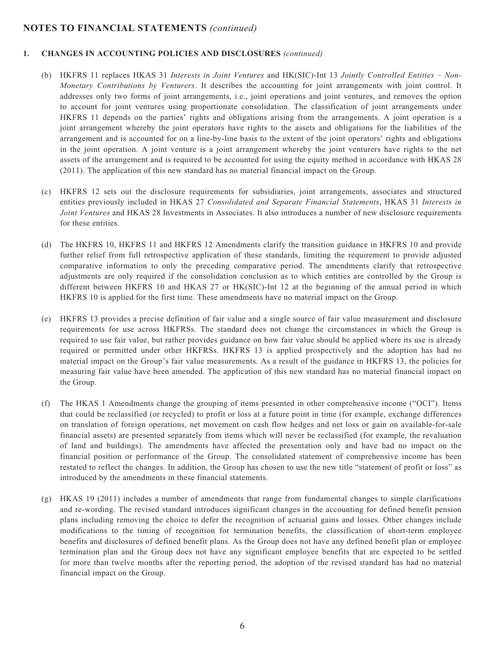#### **1. CHANGES IN ACCOUNTING POLICIES AND DISCLOSURES** *(continued)*

- (b) HKFRS 11 replaces HKAS 31 *Interests in Joint Ventures* and HK(SIC)-Int 13 *Jointly Controlled Entities Non-Monetary Contributions by Venturers*. It describes the accounting for joint arrangements with joint control. It addresses only two forms of joint arrangements, i.e., joint operations and joint ventures, and removes the option to account for joint ventures using proportionate consolidation. The classification of joint arrangements under HKFRS 11 depends on the parties' rights and obligations arising from the arrangements. A joint operation is a joint arrangement whereby the joint operators have rights to the assets and obligations for the liabilities of the arrangement and is accounted for on a line-by-line basis to the extent of the joint operators' rights and obligations in the joint operation. A joint venture is a joint arrangement whereby the joint venturers have rights to the net assets of the arrangement and is required to be accounted for using the equity method in accordance with HKAS 28 (2011). The application of this new standard has no material financial impact on the Group.
- (c) HKFRS 12 sets out the disclosure requirements for subsidiaries, joint arrangements, associates and structured entities previously included in HKAS 27 *Consolidated and Separate Financial Statements*, HKAS 31 *Interests in Joint Ventures* and HKAS 28 Investments in Associates. It also introduces a number of new disclosure requirements for these entities.
- (d) The HKFRS 10, HKFRS 11 and HKFRS 12 Amendments clarify the transition guidance in HKFRS 10 and provide further relief from full retrospective application of these standards, limiting the requirement to provide adjusted comparative information to only the preceding comparative period. The amendments clarify that retrospective adjustments are only required if the consolidation conclusion as to which entities are controlled by the Group is different between HKFRS 10 and HKAS 27 or HK(SIC)-Int 12 at the beginning of the annual period in which HKFRS 10 is applied for the first time. These amendments have no material impact on the Group.
- (e) HKFRS 13 provides a precise definition of fair value and a single source of fair value measurement and disclosure requirements for use across HKFRSs. The standard does not change the circumstances in which the Group is required to use fair value, but rather provides guidance on how fair value should be applied where its use is already required or permitted under other HKFRSs. HKFRS 13 is applied prospectively and the adoption has had no material impact on the Group's fair value measurements. As a result of the guidance in HKFRS 13, the policies for measuring fair value have been amended. The application of this new standard has no material financial impact on the Group.
- (f) The HKAS 1 Amendments change the grouping of items presented in other comprehensive income ("OCI"). Items that could be reclassified (or recycled) to profit or loss at a future point in time (for example, exchange differences on translation of foreign operations, net movement on cash flow hedges and net loss or gain on available-for-sale financial assets) are presented separately from items which will never be reclassified (for example, the revaluation of land and buildings). The amendments have affected the presentation only and have had no impact on the financial position or performance of the Group. The consolidated statement of comprehensive income has been restated to reflect the changes. In addition, the Group has chosen to use the new title "statement of profit or loss" as introduced by the amendments in these financial statements.
- (g) HKAS 19 (2011) includes a number of amendments that range from fundamental changes to simple clarifications and re-wording. The revised standard introduces significant changes in the accounting for defined benefit pension plans including removing the choice to defer the recognition of actuarial gains and losses. Other changes include modifications to the timing of recognition for termination benefits, the classification of short-term employee benefits and disclosures of defined benefit plans. As the Group does not have any defined benefit plan or employee termination plan and the Group does not have any significant employee benefits that are expected to be settled for more than twelve months after the reporting period, the adoption of the revised standard has had no material financial impact on the Group.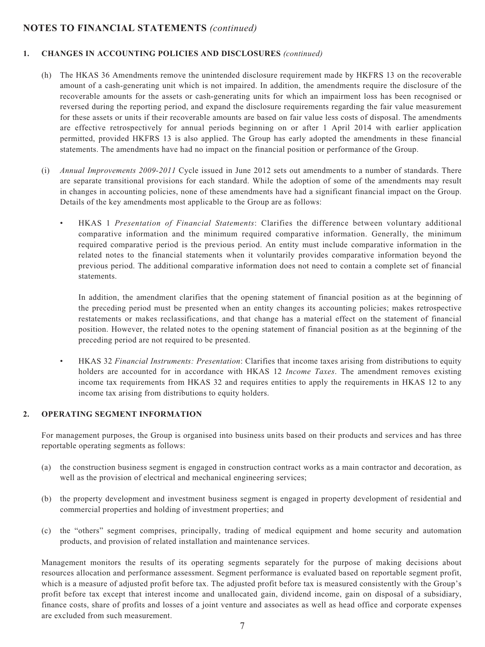#### **1. CHANGES IN ACCOUNTING POLICIES AND DISCLOSURES** *(continued)*

- (h) The HKAS 36 Amendments remove the unintended disclosure requirement made by HKFRS 13 on the recoverable amount of a cash-generating unit which is not impaired. In addition, the amendments require the disclosure of the recoverable amounts for the assets or cash-generating units for which an impairment loss has been recognised or reversed during the reporting period, and expand the disclosure requirements regarding the fair value measurement for these assets or units if their recoverable amounts are based on fair value less costs of disposal. The amendments are effective retrospectively for annual periods beginning on or after 1 April 2014 with earlier application permitted, provided HKFRS 13 is also applied. The Group has early adopted the amendments in these financial statements. The amendments have had no impact on the financial position or performance of the Group.
- (i) *Annual Improvements 2009-2011* Cycle issued in June 2012 sets out amendments to a number of standards. There are separate transitional provisions for each standard. While the adoption of some of the amendments may result in changes in accounting policies, none of these amendments have had a significant financial impact on the Group. Details of the key amendments most applicable to the Group are as follows:
	- HKAS 1 *Presentation of Financial Statements*: Clarifies the difference between voluntary additional comparative information and the minimum required comparative information. Generally, the minimum required comparative period is the previous period. An entity must include comparative information in the related notes to the financial statements when it voluntarily provides comparative information beyond the previous period. The additional comparative information does not need to contain a complete set of financial statements.

 In addition, the amendment clarifies that the opening statement of financial position as at the beginning of the preceding period must be presented when an entity changes its accounting policies; makes retrospective restatements or makes reclassifications, and that change has a material effect on the statement of financial position. However, the related notes to the opening statement of financial position as at the beginning of the preceding period are not required to be presented.

• HKAS 32 *Financial Instruments: Presentation*: Clarifies that income taxes arising from distributions to equity holders are accounted for in accordance with HKAS 12 *Income Taxes*. The amendment removes existing income tax requirements from HKAS 32 and requires entities to apply the requirements in HKAS 12 to any income tax arising from distributions to equity holders.

#### **2. OPERATING SEGMENT INFORMATION**

For management purposes, the Group is organised into business units based on their products and services and has three reportable operating segments as follows:

- (a) the construction business segment is engaged in construction contract works as a main contractor and decoration, as well as the provision of electrical and mechanical engineering services;
- (b) the property development and investment business segment is engaged in property development of residential and commercial properties and holding of investment properties; and
- (c) the "others" segment comprises, principally, trading of medical equipment and home security and automation products, and provision of related installation and maintenance services.

Management monitors the results of its operating segments separately for the purpose of making decisions about resources allocation and performance assessment. Segment performance is evaluated based on reportable segment profit, which is a measure of adjusted profit before tax. The adjusted profit before tax is measured consistently with the Group's profit before tax except that interest income and unallocated gain, dividend income, gain on disposal of a subsidiary, finance costs, share of profits and losses of a joint venture and associates as well as head office and corporate expenses are excluded from such measurement.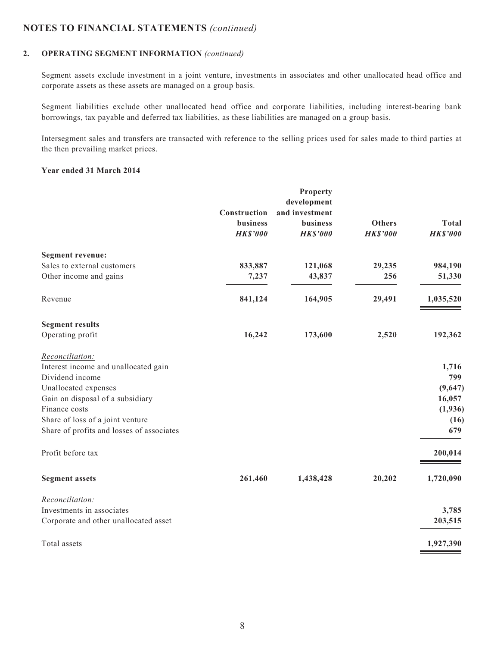#### **2. OPERATING SEGMENT INFORMATION** *(continued)*

Segment assets exclude investment in a joint venture, investments in associates and other unallocated head office and corporate assets as these assets are managed on a group basis.

Segment liabilities exclude other unallocated head office and corporate liabilities, including interest-bearing bank borrowings, tax payable and deferred tax liabilities, as these liabilities are managed on a group basis.

Intersegment sales and transfers are transacted with reference to the selling prices used for sales made to third parties at the then prevailing market prices.

#### **Year ended 31 March 2014**

|                 | <b>Property</b> |                               |                 |
|-----------------|-----------------|-------------------------------|-----------------|
|                 |                 |                               |                 |
|                 |                 |                               |                 |
| <b>business</b> | business        | <b>Others</b>                 | <b>Total</b>    |
| <b>HK\$'000</b> | <b>HK\$'000</b> | <b>HK\$'000</b>               | <b>HK\$'000</b> |
|                 |                 |                               |                 |
| 833,887         | 121,068         | 29,235                        | 984,190         |
| 7,237           | 43,837          | 256                           | 51,330          |
| 841,124         | 164,905         | 29,491                        | 1,035,520       |
|                 |                 |                               |                 |
| 16,242          | 173,600         | 2,520                         | 192,362         |
|                 |                 |                               |                 |
|                 |                 |                               | 1,716           |
|                 |                 |                               | 799             |
|                 |                 |                               | (9,647)         |
|                 |                 |                               | 16,057          |
|                 |                 |                               | (1,936)         |
|                 |                 |                               | (16)            |
|                 |                 |                               | 679             |
|                 |                 |                               | 200,014         |
| 261,460         | 1,438,428       | 20,202                        | 1,720,090       |
|                 |                 |                               |                 |
|                 |                 |                               | 3,785           |
|                 |                 |                               | 203,515         |
|                 |                 |                               | 1,927,390       |
|                 | Construction    | development<br>and investment |                 |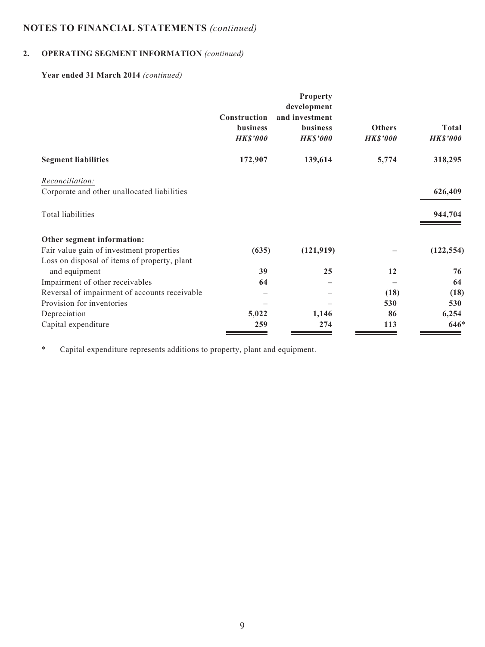# **2. OPERATING SEGMENT INFORMATION** *(continued)*

### **Year ended 31 March 2014** *(continued)*

|                                               | <b>Construction</b>                | Property<br>development<br>and investment |                                  |                                 |
|-----------------------------------------------|------------------------------------|-------------------------------------------|----------------------------------|---------------------------------|
|                                               | <b>business</b><br><b>HK\$'000</b> | business<br><b>HK\$'000</b>               | <b>Others</b><br><b>HK\$'000</b> | <b>Total</b><br><b>HK\$'000</b> |
| <b>Segment liabilities</b>                    | 172,907                            | 139,614                                   | 5,774                            | 318,295                         |
| Reconciliation:                               |                                    |                                           |                                  |                                 |
| Corporate and other unallocated liabilities   |                                    |                                           |                                  | 626,409                         |
| Total liabilities                             |                                    |                                           |                                  | 944,704                         |
| Other segment information:                    |                                    |                                           |                                  |                                 |
| Fair value gain of investment properties      | (635)                              | (121, 919)                                |                                  | (122, 554)                      |
| Loss on disposal of items of property, plant  |                                    |                                           |                                  |                                 |
| and equipment                                 | 39                                 | 25                                        | 12                               | 76                              |
| Impairment of other receivables               | 64                                 |                                           |                                  | 64                              |
| Reversal of impairment of accounts receivable |                                    |                                           | (18)                             | (18)                            |
| Provision for inventories                     |                                    |                                           | 530                              | 530                             |
| Depreciation                                  | 5,022                              | 1,146                                     | 86                               | 6,254                           |
| Capital expenditure                           | 259                                | 274                                       | 113                              | $646*$                          |

\* Capital expenditure represents additions to property, plant and equipment.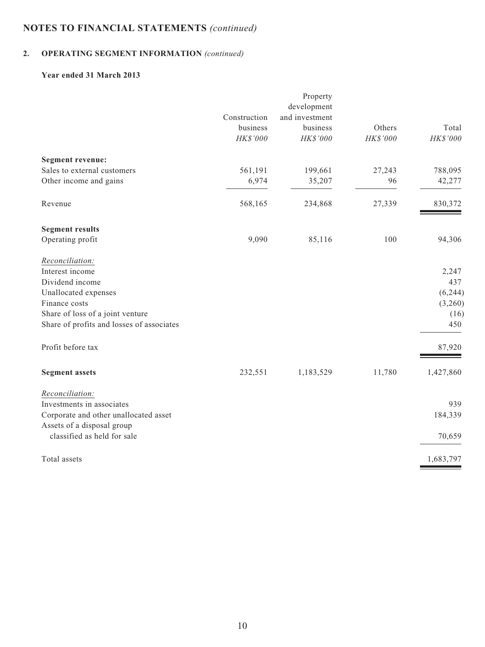# **2. OPERATING SEGMENT INFORMATION** *(continued)*

### **Year ended 31 March 2013**

| development    |          |           |
|----------------|----------|-----------|
| and investment |          |           |
| business       | Others   | Total     |
| HK\$'000       | HK\$'000 | HK\$'000  |
|                |          |           |
| 199,661        | 27,243   | 788,095   |
| 35,207         | 96       | 42,277    |
| 234,868        | 27,339   | 830,372   |
|                |          |           |
| 85,116         | 100      | 94,306    |
|                |          |           |
|                |          | 2,247     |
|                |          | 437       |
|                |          | (6,244)   |
|                |          | (3,260)   |
|                |          | (16)      |
|                |          | 450       |
|                |          | 87,920    |
| 1,183,529      | 11,780   | 1,427,860 |
|                |          |           |
|                |          | 939       |
|                |          | 184,339   |
|                |          | 70,659    |
|                |          | 1,683,797 |
|                |          |           |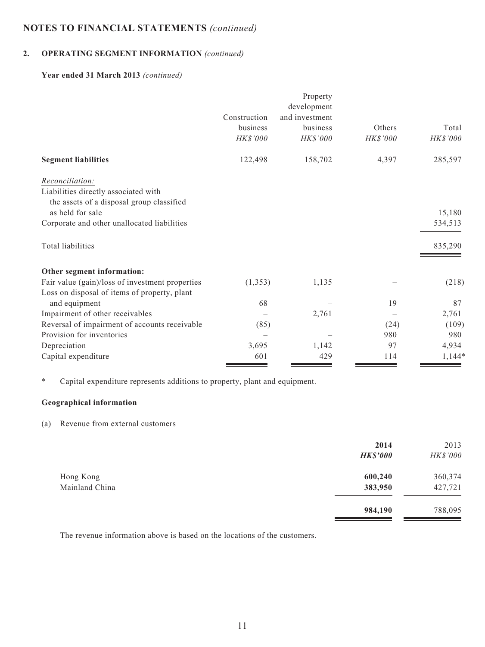# **2. OPERATING SEGMENT INFORMATION** *(continued)*

#### **Year ended 31 March 2013** *(continued)*

|                                                 |              | Property       |          |          |
|-------------------------------------------------|--------------|----------------|----------|----------|
|                                                 |              | development    |          |          |
|                                                 | Construction | and investment |          |          |
|                                                 | business     | business       | Others   | Total    |
|                                                 | HK\$'000     | HK\$'000       | HK\$'000 | HK\$'000 |
| <b>Segment liabilities</b>                      | 122,498      | 158,702        | 4,397    | 285,597  |
| Reconciliation:                                 |              |                |          |          |
| Liabilities directly associated with            |              |                |          |          |
| the assets of a disposal group classified       |              |                |          |          |
| as held for sale                                |              |                |          | 15,180   |
| Corporate and other unallocated liabilities     |              |                |          | 534,513  |
| Total liabilities                               |              |                |          | 835,290  |
| Other segment information:                      |              |                |          |          |
| Fair value (gain)/loss of investment properties | (1, 353)     | 1,135          |          | (218)    |
| Loss on disposal of items of property, plant    |              |                |          |          |
| and equipment                                   | 68           |                | 19       | 87       |
| Impairment of other receivables                 |              | 2,761          |          | 2,761    |
| Reversal of impairment of accounts receivable   | (85)         |                | (24)     | (109)    |
| Provision for inventories                       |              |                | 980      | 980      |
| Depreciation                                    | 3,695        | 1,142          | 97       | 4,934    |
| Capital expenditure                             | 601          | 429            | 114      | $1,144*$ |

\* Capital expenditure represents additions to property, plant and equipment.

#### **Geographical information**

#### (a) Revenue from external customers

|                | 2014<br><b>HK\$'000</b> | 2013<br>HK\$'000 |
|----------------|-------------------------|------------------|
| Hong Kong      | 600,240                 | 360,374          |
| Mainland China | 383,950                 | 427,721          |
|                | 984,190                 | 788,095          |

The revenue information above is based on the locations of the customers.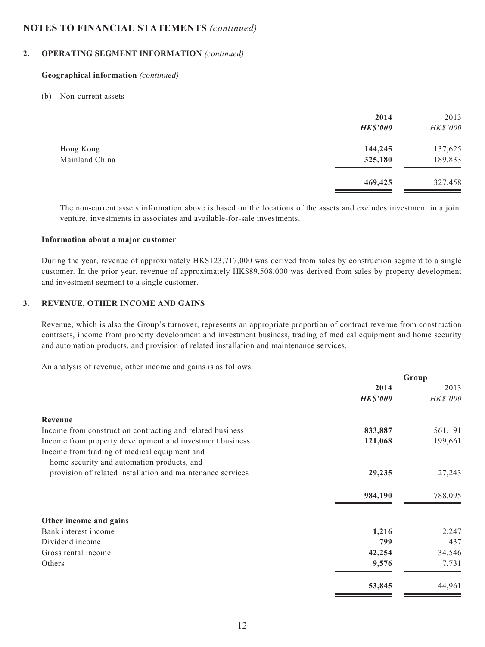#### **2. OPERATING SEGMENT INFORMATION** *(continued)*

#### **Geographical information** *(continued)*

#### (b) Non-current assets

|                | 2014<br><b>HK\$'000</b> | 2013<br>HK\$'000 |
|----------------|-------------------------|------------------|
| Hong Kong      | 144,245                 | 137,625          |
| Mainland China | 325,180                 | 189,833          |
|                | 469,425                 | 327,458          |

The non-current assets information above is based on the locations of the assets and excludes investment in a joint venture, investments in associates and available-for-sale investments.

#### **Information about a major customer**

During the year, revenue of approximately HK\$123,717,000 was derived from sales by construction segment to a single customer. In the prior year, revenue of approximately HK\$89,508,000 was derived from sales by property development and investment segment to a single customer.

#### **3. REVENUE, OTHER INCOME AND GAINS**

Revenue, which is also the Group's turnover, represents an appropriate proportion of contract revenue from construction contracts, income from property development and investment business, trading of medical equipment and home security and automation products, and provision of related installation and maintenance services.

**Group**

An analysis of revenue, other income and gains is as follows:

|                                                            |                 | Group    |
|------------------------------------------------------------|-----------------|----------|
|                                                            | 2014            | 2013     |
|                                                            | <b>HK\$'000</b> | HK\$'000 |
| Revenue                                                    |                 |          |
| Income from construction contracting and related business  | 833,887         | 561,191  |
| Income from property development and investment business   | 121,068         | 199,661  |
| Income from trading of medical equipment and               |                 |          |
| home security and automation products, and                 |                 |          |
| provision of related installation and maintenance services | 29,235          | 27,243   |
|                                                            | 984,190         | 788,095  |
| Other income and gains                                     |                 |          |
| Bank interest income                                       | 1,216           | 2,247    |
| Dividend income                                            | 799             | 437      |
| Gross rental income                                        | 42,254          | 34,546   |
| Others                                                     | 9,576           | 7,731    |
|                                                            | 53,845          | 44,961   |
|                                                            |                 |          |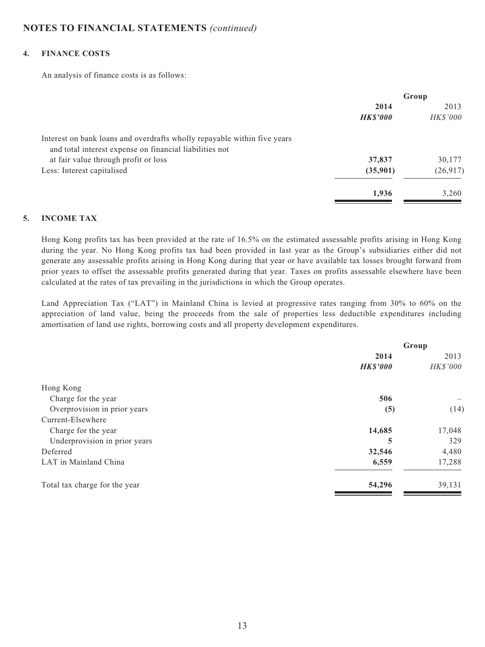#### **4. FINANCE COSTS**

An analysis of finance costs is as follows:

|                                                                          | Group          |                 |
|--------------------------------------------------------------------------|----------------|-----------------|
|                                                                          | 2014           | 2013            |
|                                                                          | <b>HKS'000</b> | <b>HK\$'000</b> |
| Interest on bank loans and overdrafts wholly repayable within five years |                |                 |
| and total interest expense on financial liabilities not                  |                |                 |
| at fair value through profit or loss                                     | 37,837         | 30,177          |
| Less: Interest capitalised                                               | (35,901)       | (26,917)        |
|                                                                          | 1,936          | 3,260           |

#### **5. INCOME TAX**

Hong Kong profits tax has been provided at the rate of 16.5% on the estimated assessable profits arising in Hong Kong during the year. No Hong Kong profits tax had been provided in last year as the Group's subsidiaries either did not generate any assessable profits arising in Hong Kong during that year or have available tax losses brought forward from prior years to offset the assessable profits generated during that year. Taxes on profits assessable elsewhere have been calculated at the rates of tax prevailing in the jurisdictions in which the Group operates.

Land Appreciation Tax ("LAT") in Mainland China is levied at progressive rates ranging from 30% to 60% on the appreciation of land value, being the proceeds from the sale of properties less deductible expenditures including amortisation of land use rights, borrowing costs and all property development expenditures.

|                               | Group           |                 |  |
|-------------------------------|-----------------|-----------------|--|
|                               | 2014            | 2013            |  |
|                               | <b>HK\$'000</b> | <b>HK\$'000</b> |  |
| Hong Kong                     |                 |                 |  |
| Charge for the year           | 506             |                 |  |
| Overprovision in prior years  | (5)             | (14)            |  |
| Current-Elsewhere             |                 |                 |  |
| Charge for the year           | 14,685          | 17,048          |  |
| Underprovision in prior years | 5               | 329             |  |
| Deferred                      | 32,546          | 4,480           |  |
| LAT in Mainland China         | 6,559           | 17,288          |  |
| Total tax charge for the year | 54,296          | 39,131          |  |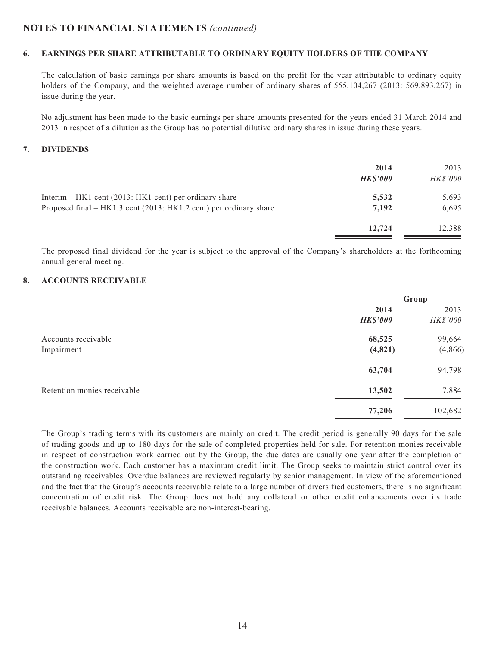#### **6. EARNINGS PER SHARE ATTRIBUTABLE TO ORDINARY EQUITY HOLDERS OF THE COMPANY**

The calculation of basic earnings per share amounts is based on the profit for the year attributable to ordinary equity holders of the Company, and the weighted average number of ordinary shares of 555,104,267 (2013: 569,893,267) in issue during the year.

No adjustment has been made to the basic earnings per share amounts presented for the years ended 31 March 2014 and 2013 in respect of a dilution as the Group has no potential dilutive ordinary shares in issue during these years.

#### **7. DIVIDENDS**

|                                                                   | 2014<br><b>HKS'000</b> | 2013<br><b>HK\$'000</b> |
|-------------------------------------------------------------------|------------------------|-------------------------|
| Interim – HK1 cent (2013: HK1 cent) per ordinary share            | 5,532                  | 5,693                   |
| Proposed final – HK1.3 cent (2013: HK1.2 cent) per ordinary share | 7.192                  | 6,695                   |
|                                                                   | 12,724                 | 12,388                  |

The proposed final dividend for the year is subject to the approval of the Company's shareholders at the forthcoming annual general meeting.

#### **8. ACCOUNTS RECEIVABLE**

|                             | Group           |          |
|-----------------------------|-----------------|----------|
|                             | 2014            | 2013     |
|                             | <b>HK\$'000</b> | HK\$'000 |
| Accounts receivable         | 68,525          | 99,664   |
| Impairment                  | (4, 821)        | (4, 866) |
|                             | 63,704          | 94,798   |
| Retention monies receivable | 13,502          | 7,884    |
|                             | 77,206          | 102,682  |

The Group's trading terms with its customers are mainly on credit. The credit period is generally 90 days for the sale of trading goods and up to 180 days for the sale of completed properties held for sale. For retention monies receivable in respect of construction work carried out by the Group, the due dates are usually one year after the completion of the construction work. Each customer has a maximum credit limit. The Group seeks to maintain strict control over its outstanding receivables. Overdue balances are reviewed regularly by senior management. In view of the aforementioned and the fact that the Group's accounts receivable relate to a large number of diversified customers, there is no significant concentration of credit risk. The Group does not hold any collateral or other credit enhancements over its trade receivable balances. Accounts receivable are non-interest-bearing.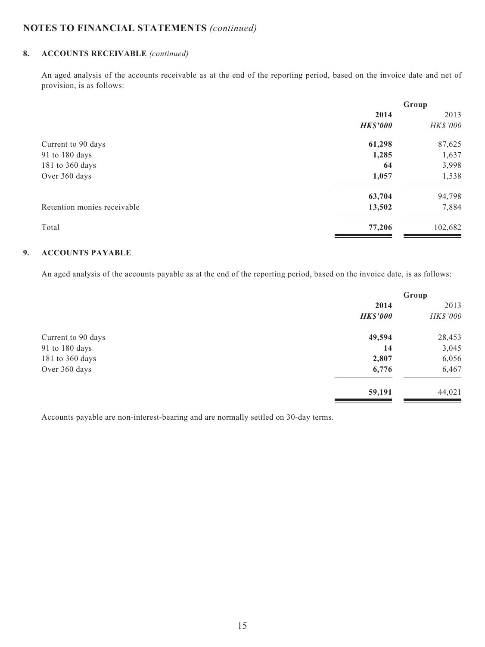### **8. ACCOUNTS RECEIVABLE** *(continued)*

An aged analysis of the accounts receivable as at the end of the reporting period, based on the invoice date and net of provision, is as follows:

|                             | Group           |          |
|-----------------------------|-----------------|----------|
|                             | 2014            | 2013     |
|                             | <b>HK\$'000</b> | HK\$'000 |
| Current to 90 days          | 61,298          | 87,625   |
| 91 to 180 days              | 1,285           | 1,637    |
| 181 to 360 days             | 64              | 3,998    |
| Over 360 days               | 1,057           | 1,538    |
|                             | 63,704          | 94,798   |
| Retention monies receivable | 13,502          | 7,884    |
| Total                       | 77,206          | 102,682  |

#### **9. ACCOUNTS PAYABLE**

An aged analysis of the accounts payable as at the end of the reporting period, based on the invoice date, is as follows:

|                    | Group           |          |
|--------------------|-----------------|----------|
|                    | 2014            | 2013     |
|                    | <b>HK\$'000</b> | HK\$'000 |
| Current to 90 days | 49,594          | 28,453   |
| 91 to 180 days     | 14              | 3,045    |
| 181 to 360 days    | 2,807           | 6,056    |
| Over 360 days      | 6,776           | 6,467    |
|                    | 59,191          | 44,021   |

Accounts payable are non-interest-bearing and are normally settled on 30-day terms.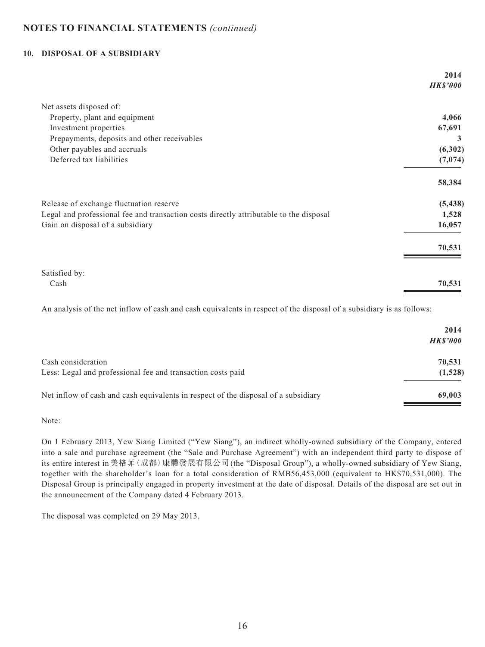#### **10. DISPOSAL OF A SUBSIDIARY**

|                                                                                        | 2014            |
|----------------------------------------------------------------------------------------|-----------------|
|                                                                                        | <b>HK\$'000</b> |
| Net assets disposed of:                                                                |                 |
| Property, plant and equipment                                                          | 4,066           |
| Investment properties                                                                  | 67,691          |
| Prepayments, deposits and other receivables                                            | 3               |
| Other payables and accruals                                                            | (6,302)         |
| Deferred tax liabilities                                                               | (7,074)         |
|                                                                                        | 58,384          |
| Release of exchange fluctuation reserve                                                | (5, 438)        |
| Legal and professional fee and transaction costs directly attributable to the disposal | 1,528           |
| Gain on disposal of a subsidiary                                                       | 16,057          |
|                                                                                        | 70,531          |
| Satisfied by:                                                                          |                 |
| Cash                                                                                   | 70,531          |

An analysis of the net inflow of cash and cash equivalents in respect of the disposal of a subsidiary is as follows:

|                                                                                    | 2014<br><b>HKS'000</b> |
|------------------------------------------------------------------------------------|------------------------|
| Cash consideration<br>Less: Legal and professional fee and transaction costs paid  | 70,531<br>(1,528)      |
| Net inflow of cash and cash equivalents in respect of the disposal of a subsidiary | 69,003                 |

Note:

On 1 February 2013, Yew Siang Limited ("Yew Siang"), an indirect wholly-owned subsidiary of the Company, entered into a sale and purchase agreement (the "Sale and Purchase Agreement") with an independent third party to dispose of its entire interest in美格菲(成都)康體發展有限公司(the "Disposal Group"), a wholly-owned subsidiary of Yew Siang, together with the shareholder's loan for a total consideration of RMB56,453,000 (equivalent to HK\$70,531,000). The Disposal Group is principally engaged in property investment at the date of disposal. Details of the disposal are set out in the announcement of the Company dated 4 February 2013.

The disposal was completed on 29 May 2013.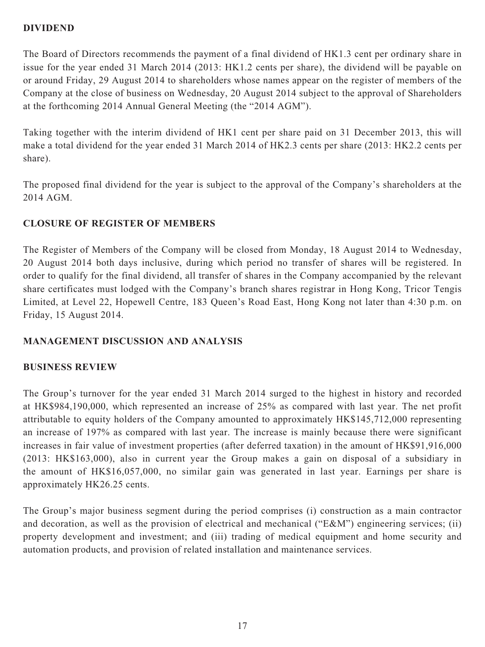# **DIVIDEND**

The Board of Directors recommends the payment of a final dividend of HK1.3 cent per ordinary share in issue for the year ended 31 March 2014 (2013: HK1.2 cents per share), the dividend will be payable on or around Friday, 29 August 2014 to shareholders whose names appear on the register of members of the Company at the close of business on Wednesday, 20 August 2014 subject to the approval of Shareholders at the forthcoming 2014 Annual General Meeting (the "2014 AGM").

Taking together with the interim dividend of HK1 cent per share paid on 31 December 2013, this will make a total dividend for the year ended 31 March 2014 of HK2.3 cents per share (2013: HK2.2 cents per share).

The proposed final dividend for the year is subject to the approval of the Company's shareholders at the 2014 AGM.

# **CLOSURE OF REGISTER OF MEMBERS**

The Register of Members of the Company will be closed from Monday, 18 August 2014 to Wednesday, 20 August 2014 both days inclusive, during which period no transfer of shares will be registered. In order to qualify for the final dividend, all transfer of shares in the Company accompanied by the relevant share certificates must lodged with the Company's branch shares registrar in Hong Kong, Tricor Tengis Limited, at Level 22, Hopewell Centre, 183 Queen's Road East, Hong Kong not later than 4:30 p.m. on Friday, 15 August 2014.

# **MANAGEMENT DISCUSSION AND ANALYSIS**

# **BUSINESS REVIEW**

The Group's turnover for the year ended 31 March 2014 surged to the highest in history and recorded at HK\$984,190,000, which represented an increase of 25% as compared with last year. The net profit attributable to equity holders of the Company amounted to approximately HK\$145,712,000 representing an increase of 197% as compared with last year. The increase is mainly because there were significant increases in fair value of investment properties (after deferred taxation) in the amount of HK\$91,916,000 (2013: HK\$163,000), also in current year the Group makes a gain on disposal of a subsidiary in the amount of HK\$16,057,000, no similar gain was generated in last year. Earnings per share is approximately HK26.25 cents.

The Group's major business segment during the period comprises (i) construction as a main contractor and decoration, as well as the provision of electrical and mechanical ("E&M") engineering services; (ii) property development and investment; and (iii) trading of medical equipment and home security and automation products, and provision of related installation and maintenance services.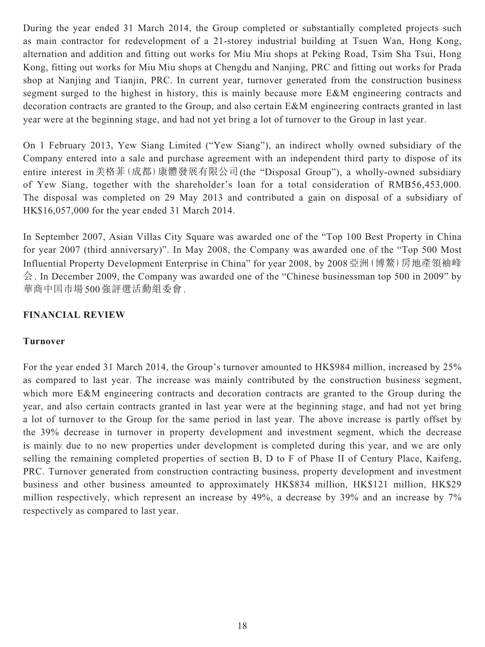During the year ended 31 March 2014, the Group completed or substantially completed projects such as main contractor for redevelopment of a 21-storey industrial building at Tsuen Wan, Hong Kong, alternation and addition and fitting out works for Miu Miu shops at Peking Road, Tsim Sha Tsui, Hong Kong, fitting out works for Miu Miu shops at Chengdu and Nanjing, PRC and fitting out works for Prada shop at Nanjing and Tianjin, PRC. In current year, turnover generated from the construction business segment surged to the highest in history, this is mainly because more E&M engineering contracts and decoration contracts are granted to the Group, and also certain E&M engineering contracts granted in last year were at the beginning stage, and had not yet bring a lot of turnover to the Group in last year.

On 1 February 2013, Yew Siang Limited ("Yew Siang"), an indirect wholly owned subsidiary of the Company entered into a sale and purchase agreement with an independent third party to dispose of its entire interest in美格菲(成都)康體發展有限公司(the "Disposal Group"), a wholly-owned subsidiary of Yew Siang, together with the shareholder's loan for a total consideration of RMB56,453,000. The disposal was completed on 29 May 2013 and contributed a gain on disposal of a subsidiary of HK\$16,057,000 for the year ended 31 March 2014.

In September 2007, Asian Villas City Square was awarded one of the "Top 100 Best Property in China for year 2007 (third anniversary)". In May 2008, the Company was awarded one of the "Top 500 Most Influential Property Development Enterprise in China" for year 2008, by 2008亞洲(博鰲)房地產領袖峰 会. In December 2009, the Company was awarded one of the "Chinese businessman top 500 in 2009" by 華商中国市場500強評選活動組委會.

# **FINANCIAL REVIEW**

# **Turnover**

For the year ended 31 March 2014, the Group's turnover amounted to HK\$984 million, increased by 25% as compared to last year. The increase was mainly contributed by the construction business segment, which more E&M engineering contracts and decoration contracts are granted to the Group during the year, and also certain contracts granted in last year were at the beginning stage, and had not yet bring a lot of turnover to the Group for the same period in last year. The above increase is partly offset by the 39% decrease in turnover in property development and investment segment, which the decrease is mainly due to no new properties under development is completed during this year, and we are only selling the remaining completed properties of section B, D to F of Phase II of Century Place, Kaifeng, PRC. Turnover generated from construction contracting business, property development and investment business and other business amounted to approximately HK\$834 million, HK\$121 million, HK\$29 million respectively, which represent an increase by 49%, a decrease by 39% and an increase by 7% respectively as compared to last year.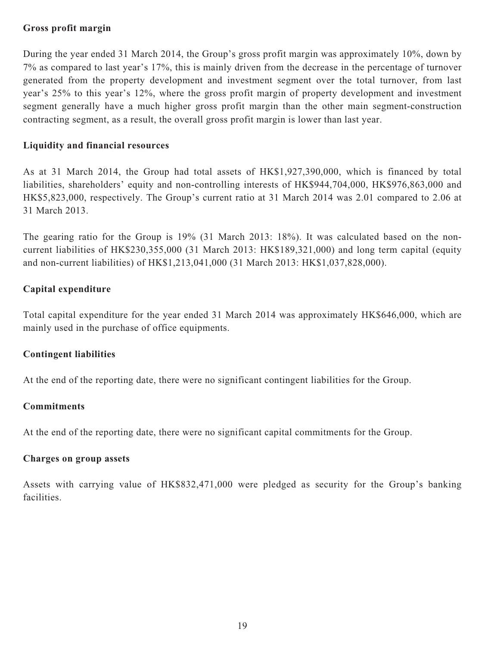# **Gross profit margin**

During the year ended 31 March 2014, the Group's gross profit margin was approximately 10%, down by 7% as compared to last year's 17%, this is mainly driven from the decrease in the percentage of turnover generated from the property development and investment segment over the total turnover, from last year's 25% to this year's 12%, where the gross profit margin of property development and investment segment generally have a much higher gross profit margin than the other main segment-construction contracting segment, as a result, the overall gross profit margin is lower than last year.

# **Liquidity and financial resources**

As at 31 March 2014, the Group had total assets of HK\$1,927,390,000, which is financed by total liabilities, shareholders' equity and non-controlling interests of HK\$944,704,000, HK\$976,863,000 and HK\$5,823,000, respectively. The Group's current ratio at 31 March 2014 was 2.01 compared to 2.06 at 31 March 2013.

The gearing ratio for the Group is 19% (31 March 2013: 18%). It was calculated based on the noncurrent liabilities of HK\$230,355,000 (31 March 2013: HK\$189,321,000) and long term capital (equity and non-current liabilities) of HK\$1,213,041,000 (31 March 2013: HK\$1,037,828,000).

# **Capital expenditure**

Total capital expenditure for the year ended 31 March 2014 was approximately HK\$646,000, which are mainly used in the purchase of office equipments.

# **Contingent liabilities**

At the end of the reporting date, there were no significant contingent liabilities for the Group.

# **Commitments**

At the end of the reporting date, there were no significant capital commitments for the Group.

# **Charges on group assets**

Assets with carrying value of HK\$832,471,000 were pledged as security for the Group's banking facilities.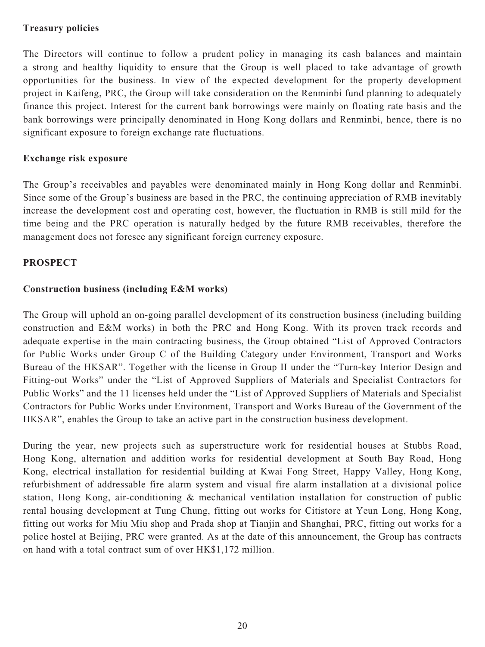# **Treasury policies**

The Directors will continue to follow a prudent policy in managing its cash balances and maintain a strong and healthy liquidity to ensure that the Group is well placed to take advantage of growth opportunities for the business. In view of the expected development for the property development project in Kaifeng, PRC, the Group will take consideration on the Renminbi fund planning to adequately finance this project. Interest for the current bank borrowings were mainly on floating rate basis and the bank borrowings were principally denominated in Hong Kong dollars and Renminbi, hence, there is no significant exposure to foreign exchange rate fluctuations.

# **Exchange risk exposure**

The Group's receivables and payables were denominated mainly in Hong Kong dollar and Renminbi. Since some of the Group's business are based in the PRC, the continuing appreciation of RMB inevitably increase the development cost and operating cost, however, the fluctuation in RMB is still mild for the time being and the PRC operation is naturally hedged by the future RMB receivables, therefore the management does not foresee any significant foreign currency exposure.

# **PROSPECT**

# **Construction business (including E&M works)**

The Group will uphold an on-going parallel development of its construction business (including building construction and E&M works) in both the PRC and Hong Kong. With its proven track records and adequate expertise in the main contracting business, the Group obtained "List of Approved Contractors for Public Works under Group C of the Building Category under Environment, Transport and Works Bureau of the HKSAR". Together with the license in Group II under the "Turn-key Interior Design and Fitting-out Works" under the "List of Approved Suppliers of Materials and Specialist Contractors for Public Works" and the 11 licenses held under the "List of Approved Suppliers of Materials and Specialist Contractors for Public Works under Environment, Transport and Works Bureau of the Government of the HKSAR", enables the Group to take an active part in the construction business development.

During the year, new projects such as superstructure work for residential houses at Stubbs Road, Hong Kong, alternation and addition works for residential development at South Bay Road, Hong Kong, electrical installation for residential building at Kwai Fong Street, Happy Valley, Hong Kong, refurbishment of addressable fire alarm system and visual fire alarm installation at a divisional police station, Hong Kong, air-conditioning & mechanical ventilation installation for construction of public rental housing development at Tung Chung, fitting out works for Citistore at Yeun Long, Hong Kong, fitting out works for Miu Miu shop and Prada shop at Tianjin and Shanghai, PRC, fitting out works for a police hostel at Beijing, PRC were granted. As at the date of this announcement, the Group has contracts on hand with a total contract sum of over HK\$1,172 million.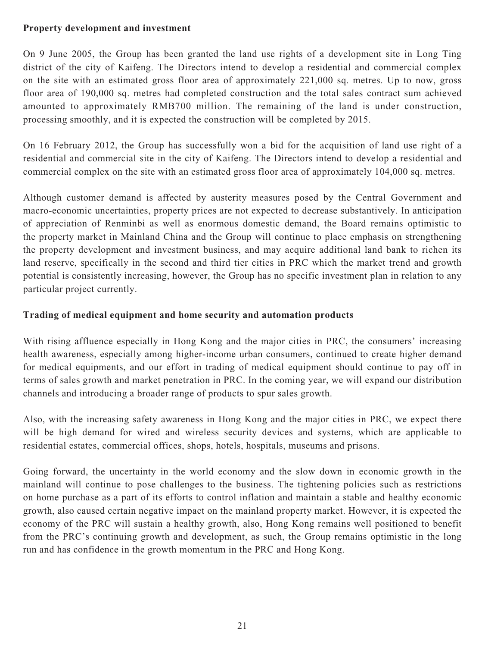# **Property development and investment**

On 9 June 2005, the Group has been granted the land use rights of a development site in Long Ting district of the city of Kaifeng. The Directors intend to develop a residential and commercial complex on the site with an estimated gross floor area of approximately 221,000 sq. metres. Up to now, gross floor area of 190,000 sq. metres had completed construction and the total sales contract sum achieved amounted to approximately RMB700 million. The remaining of the land is under construction, processing smoothly, and it is expected the construction will be completed by 2015.

On 16 February 2012, the Group has successfully won a bid for the acquisition of land use right of a residential and commercial site in the city of Kaifeng. The Directors intend to develop a residential and commercial complex on the site with an estimated gross floor area of approximately 104,000 sq. metres.

Although customer demand is affected by austerity measures posed by the Central Government and macro-economic uncertainties, property prices are not expected to decrease substantively. In anticipation of appreciation of Renminbi as well as enormous domestic demand, the Board remains optimistic to the property market in Mainland China and the Group will continue to place emphasis on strengthening the property development and investment business, and may acquire additional land bank to richen its land reserve, specifically in the second and third tier cities in PRC which the market trend and growth potential is consistently increasing, however, the Group has no specific investment plan in relation to any particular project currently.

# **Trading of medical equipment and home security and automation products**

With rising affluence especially in Hong Kong and the major cities in PRC, the consumers' increasing health awareness, especially among higher-income urban consumers, continued to create higher demand for medical equipments, and our effort in trading of medical equipment should continue to pay off in terms of sales growth and market penetration in PRC. In the coming year, we will expand our distribution channels and introducing a broader range of products to spur sales growth.

Also, with the increasing safety awareness in Hong Kong and the major cities in PRC, we expect there will be high demand for wired and wireless security devices and systems, which are applicable to residential estates, commercial offices, shops, hotels, hospitals, museums and prisons.

Going forward, the uncertainty in the world economy and the slow down in economic growth in the mainland will continue to pose challenges to the business. The tightening policies such as restrictions on home purchase as a part of its efforts to control inflation and maintain a stable and healthy economic growth, also caused certain negative impact on the mainland property market. However, it is expected the economy of the PRC will sustain a healthy growth, also, Hong Kong remains well positioned to benefit from the PRC's continuing growth and development, as such, the Group remains optimistic in the long run and has confidence in the growth momentum in the PRC and Hong Kong.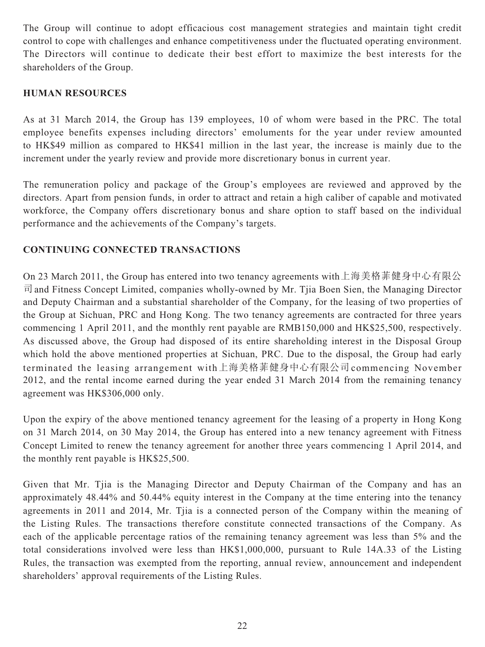The Group will continue to adopt efficacious cost management strategies and maintain tight credit control to cope with challenges and enhance competitiveness under the fluctuated operating environment. The Directors will continue to dedicate their best effort to maximize the best interests for the shareholders of the Group.

# **HUMAN RESOURCES**

As at 31 March 2014, the Group has 139 employees, 10 of whom were based in the PRC. The total employee benefits expenses including directors' emoluments for the year under review amounted to HK\$49 million as compared to HK\$41 million in the last year, the increase is mainly due to the increment under the yearly review and provide more discretionary bonus in current year.

The remuneration policy and package of the Group's employees are reviewed and approved by the directors. Apart from pension funds, in order to attract and retain a high caliber of capable and motivated workforce, the Company offers discretionary bonus and share option to staff based on the individual performance and the achievements of the Company's targets.

# **CONTINUING CONNECTED TRANSACTIONS**

On 23 March 2011, the Group has entered into two tenancy agreements with上海美格菲健身中心有限公 司and Fitness Concept Limited, companies wholly-owned by Mr. Tjia Boen Sien, the Managing Director and Deputy Chairman and a substantial shareholder of the Company, for the leasing of two properties of the Group at Sichuan, PRC and Hong Kong. The two tenancy agreements are contracted for three years commencing 1 April 2011, and the monthly rent payable are RMB150,000 and HK\$25,500, respectively. As discussed above, the Group had disposed of its entire shareholding interest in the Disposal Group which hold the above mentioned properties at Sichuan, PRC. Due to the disposal, the Group had early terminated the leasing arrangement with上海美格菲健身中心有限公司commencing November 2012, and the rental income earned during the year ended 31 March 2014 from the remaining tenancy agreement was HK\$306,000 only.

Upon the expiry of the above mentioned tenancy agreement for the leasing of a property in Hong Kong on 31 March 2014, on 30 May 2014, the Group has entered into a new tenancy agreement with Fitness Concept Limited to renew the tenancy agreement for another three years commencing 1 April 2014, and the monthly rent payable is HK\$25,500.

Given that Mr. Tjia is the Managing Director and Deputy Chairman of the Company and has an approximately 48.44% and 50.44% equity interest in the Company at the time entering into the tenancy agreements in 2011 and 2014, Mr. Tjia is a connected person of the Company within the meaning of the Listing Rules. The transactions therefore constitute connected transactions of the Company. As each of the applicable percentage ratios of the remaining tenancy agreement was less than 5% and the total considerations involved were less than HK\$1,000,000, pursuant to Rule 14A.33 of the Listing Rules, the transaction was exempted from the reporting, annual review, announcement and independent shareholders' approval requirements of the Listing Rules.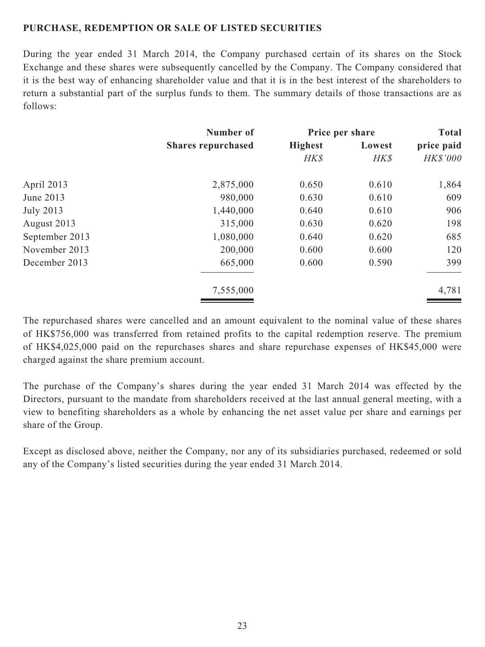# **PURCHASE, REDEMPTION OR SALE OF LISTED SECURITIES**

During the year ended 31 March 2014, the Company purchased certain of its shares on the Stock Exchange and these shares were subsequently cancelled by the Company. The Company considered that it is the best way of enhancing shareholder value and that it is in the best interest of the shareholders to return a substantial part of the surplus funds to them. The summary details of those transactions are as follows:

|                  | Number of                 |                | Price per share |            |
|------------------|---------------------------|----------------|-----------------|------------|
|                  | <b>Shares repurchased</b> | <b>Highest</b> | Lowest          | price paid |
|                  |                           | HK\$           | HK\$            | HK\$'000   |
| April 2013       | 2,875,000                 | 0.650          | 0.610           | 1,864      |
| June 2013        | 980,000                   | 0.630          | 0.610           | 609        |
| <b>July 2013</b> | 1,440,000                 | 0.640          | 0.610           | 906        |
| August 2013      | 315,000                   | 0.630          | 0.620           | 198        |
| September 2013   | 1,080,000                 | 0.640          | 0.620           | 685        |
| November 2013    | 200,000                   | 0.600          | 0.600           | 120        |
| December 2013    | 665,000                   | 0.600          | 0.590           | 399        |
|                  | 7,555,000                 |                |                 | 4,781      |

The repurchased shares were cancelled and an amount equivalent to the nominal value of these shares of HK\$756,000 was transferred from retained profits to the capital redemption reserve. The premium of HK\$4,025,000 paid on the repurchases shares and share repurchase expenses of HK\$45,000 were charged against the share premium account.

The purchase of the Company's shares during the year ended 31 March 2014 was effected by the Directors, pursuant to the mandate from shareholders received at the last annual general meeting, with a view to benefiting shareholders as a whole by enhancing the net asset value per share and earnings per share of the Group.

Except as disclosed above, neither the Company, nor any of its subsidiaries purchased, redeemed or sold any of the Company's listed securities during the year ended 31 March 2014.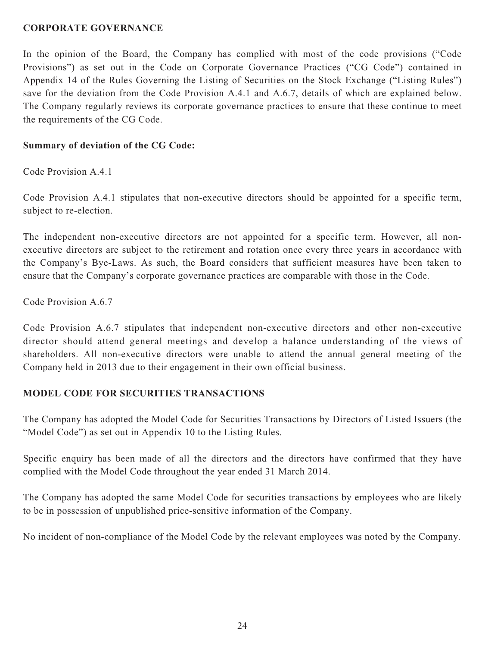### **CORPORATE GOVERNANCE**

In the opinion of the Board, the Company has complied with most of the code provisions ("Code Provisions") as set out in the Code on Corporate Governance Practices ("CG Code") contained in Appendix 14 of the Rules Governing the Listing of Securities on the Stock Exchange ("Listing Rules") save for the deviation from the Code Provision A.4.1 and A.6.7, details of which are explained below. The Company regularly reviews its corporate governance practices to ensure that these continue to meet the requirements of the CG Code.

### **Summary of deviation of the CG Code:**

Code Provision A.4.1

Code Provision A.4.1 stipulates that non-executive directors should be appointed for a specific term, subject to re-election.

The independent non-executive directors are not appointed for a specific term. However, all nonexecutive directors are subject to the retirement and rotation once every three years in accordance with the Company's Bye-Laws. As such, the Board considers that sufficient measures have been taken to ensure that the Company's corporate governance practices are comparable with those in the Code.

Code Provision A.6.7

Code Provision A.6.7 stipulates that independent non-executive directors and other non-executive director should attend general meetings and develop a balance understanding of the views of shareholders. All non-executive directors were unable to attend the annual general meeting of the Company held in 2013 due to their engagement in their own official business.

# **MODEL CODE FOR SECURITIES TRANSACTIONS**

The Company has adopted the Model Code for Securities Transactions by Directors of Listed Issuers (the "Model Code") as set out in Appendix 10 to the Listing Rules.

Specific enquiry has been made of all the directors and the directors have confirmed that they have complied with the Model Code throughout the year ended 31 March 2014.

The Company has adopted the same Model Code for securities transactions by employees who are likely to be in possession of unpublished price-sensitive information of the Company.

No incident of non-compliance of the Model Code by the relevant employees was noted by the Company.